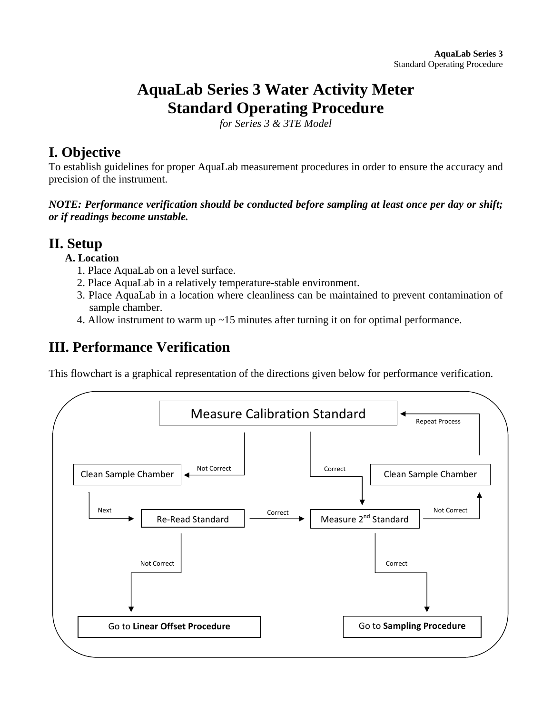# **AquaLab Series 3 Water Activity Meter Standard Operating Procedure**

*for Series 3 & 3TE Model* 

## **I. Objective**

To establish guidelines for proper AquaLab measurement procedures in order to ensure the accuracy and precision of the instrument.

*NOTE: Performance verification should be conducted before sampling at least once per day or shift; or if readings become unstable.* 

## **II. Setup**

#### **A. Location**

- 1. Place AquaLab on a level surface.
- 2. Place AquaLab in a relatively temperature-stable environment.
- 3. Place AquaLab in a location where cleanliness can be maintained to prevent contamination of sample chamber.
- 4. Allow instrument to warm up ~15 minutes after turning it on for optimal performance.

## **III. Performance Verification**

This flowchart is a graphical representation of the directions given below for performance verification.

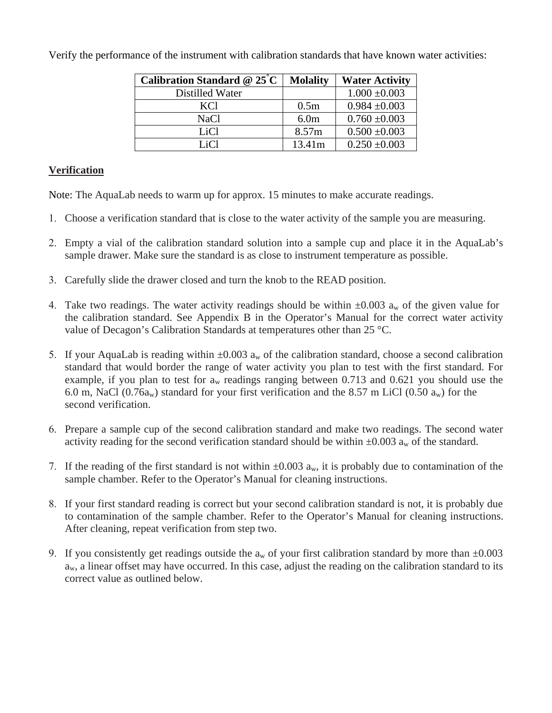| Calibration Standard @ $25^{\circ}$ C | <b>Molality</b>  | <b>Water Activity</b> |
|---------------------------------------|------------------|-----------------------|
| Distilled Water                       |                  | $1.000 \pm 0.003$     |
| KC <sub>1</sub>                       | 0.5 <sub>m</sub> | $0.984 \pm 0.003$     |
| NaCl                                  | 6.0 <sub>m</sub> | $0.760 \pm 0.003$     |
| LiCl                                  | 8.57m            | $0.500 \pm 0.003$     |
| Li $Cl$                               | 13.41m           | $0.250 \pm 0.003$     |

Verify the performance of the instrument with calibration standards that have known water activities:

#### **Verification**

Note: The AquaLab needs to warm up for approx. 15 minutes to make accurate readings.

- 1. Choose a verification standard that is close to the water activity of the sample you are measuring.
- 2. Empty a vial of the calibration standard solution into a sample cup and place it in the AquaLab's sample drawer. Make sure the standard is as close to instrument temperature as possible.
- 3. Carefully slide the drawer closed and turn the knob to the READ position.
- 4. Take two readings. The water activity readings should be within  $\pm 0.003$  a<sub>w</sub> of the given value for the calibration standard. See Appendix B in the Operator's Manual for the correct water activity value of Decagon's Calibration Standards at temperatures other than 25 °C.
- 5. If your AquaLab is reading within  $\pm 0.003$  a<sub>w</sub> of the calibration standard, choose a second calibration standard that would border the range of water activity you plan to test with the first standard. For example, if you plan to test for  $a_w$  readings ranging between 0.713 and 0.621 you should use the 6.0 m, NaCl (0.76a<sub>w</sub>) standard for your first verification and the 8.57 m LiCl (0.50 a<sub>w</sub>) for the second verification.
- 6. Prepare a sample cup of the second calibration standard and make two readings. The second water activity reading for the second verification standard should be within  $\pm 0.003$  a<sub>w</sub> of the standard.
- 7. If the reading of the first standard is not within  $\pm 0.003$  a<sub>w</sub>, it is probably due to contamination of the sample chamber. Refer to the Operator's Manual for cleaning instructions.
- 8. If your first standard reading is correct but your second calibration standard is not, it is probably due to contamination of the sample chamber. Refer to the Operator's Manual for cleaning instructions. After cleaning, repeat verification from step two.
- 9. If you consistently get readings outside the  $a_w$  of your first calibration standard by more than  $\pm 0.003$  $a_w$ , a linear offset may have occurred. In this case, adjust the reading on the calibration standard to its correct value as outlined below.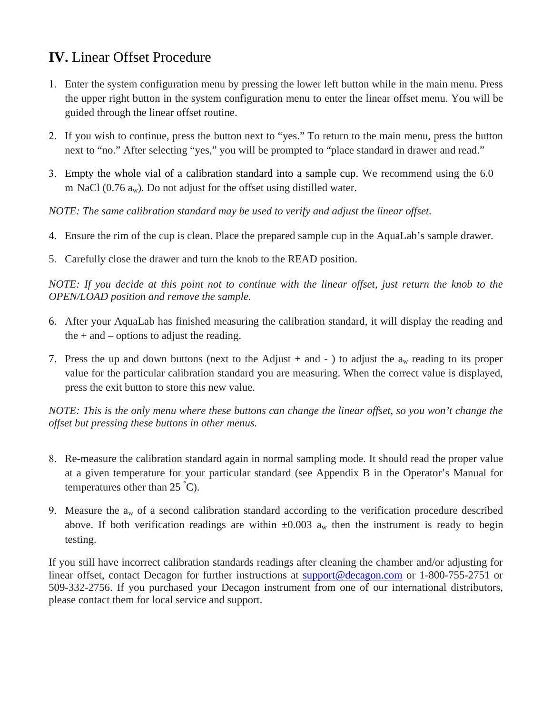## **IV.** Linear Offset Procedure

- 1. Enter the system configuration menu by pressing the lower left button while in the main menu. Press the upper right button in the system configuration menu to enter the linear offset menu. You will be guided through the linear offset routine.
- 2. If you wish to continue, press the button next to "yes." To return to the main menu, press the button next to "no." After selecting "yes," you will be prompted to "place standard in drawer and read."
- 3. Empty the whole vial of a calibration standard into a sample cup. We recommend using the 6.0 m NaCl (0.76  $a_w$ ). Do not adjust for the offset using distilled water.

*NOTE: The same calibration standard may be used to verify and adjust the linear offset.*

- 4. Ensure the rim of the cup is clean. Place the prepared sample cup in the AquaLab's sample drawer.
- 5. Carefully close the drawer and turn the knob to the READ position.

*NOTE: If you decide at this point not to continue with the linear offset, just return the knob to the OPEN/LOAD position and remove the sample.*

- 6. After your AquaLab has finished measuring the calibration standard, it will display the reading and the  $+$  and  $-$  options to adjust the reading.
- 7. Press the up and down buttons (next to the Adjust + and ) to adjust the  $a_w$  reading to its proper value for the particular calibration standard you are measuring. When the correct value is displayed, press the exit button to store this new value.

*NOTE: This is the only menu where these buttons can change the linear offset, so you won't change the offset but pressing these buttons in other menus.*

- 8. Re-measure the calibration standard again in normal sampling mode. It should read the proper value at a given temperature for your particular standard (see Appendix B in the Operator's Manual for temperatures other than  $25^{\degree}C$ ).
- 9. Measure the  $a_w$  of a second calibration standard according to the verification procedure described above. If both verification readings are within  $\pm 0.003$  a<sub>w</sub> then the instrument is ready to begin testing.

If you still have incorrect calibration standards readings after cleaning the chamber and/or adjusting for linear offset, contact Decagon for further instructions at support@decagon.com or 1-800-755-2751 or 509-332-2756. If you purchased your Decagon instrument from one of our international distributors, please contact them for local service and support.